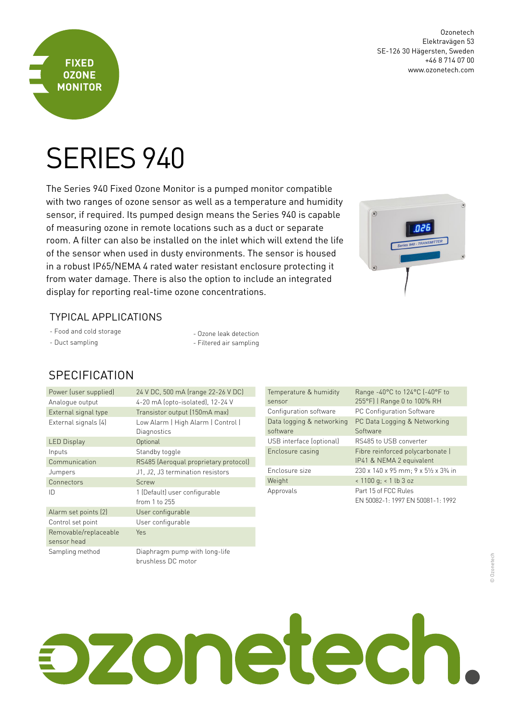

Ozonetech Elektravägen 53 SE-126 30 Hägersten, Sweden +46 8 714 07 00 www.ozonetech.com

# SERIES 940

The Series 940 Fixed Ozone Monitor is a pumped monitor compatible with two ranges of ozone sensor as well as a temperature and humidity sensor, if required. Its pumped design means the Series 940 is capable of measuring ozone in remote locations such as a duct or separate room. A filter can also be installed on the inlet which will extend the life of the sensor when used in dusty environments. The sensor is housed in a robust IP65/NEMA 4 rated water resistant enclosure protecting it from water damage. There is also the option to include an integrated display for reporting real-time ozone concentrations.



### TyPICAl APPlICATIoNS

- Food and cold storage
- Duct sampling

- Ozone leak detection - Filtered air sampling

## **SPECIFICATION**

| Power (user supplied) | 24 V DC, 500 mA (range 22-26 V DC)                  |
|-----------------------|-----------------------------------------------------|
| Analogue output       | 4-20 mA (opto-isolated), 12-24 V                    |
| External signal type  | Transistor output (150mA max)                       |
| External signals (4)  | Low Alarm   High Alarm   Control                    |
|                       | Diagnostics                                         |
| <b>LED Display</b>    | Optional                                            |
| Inputs                | Standby toggle                                      |
| Communication         | RS485 (Aeroqual proprietary protocol)               |
| Jumpers               | J1, J2, J3 termination resistors                    |
| Connectors            | Screw                                               |
| ID                    | 1 (Default) user configurable                       |
|                       | from 1 to 255                                       |
| Alarm set points (2)  | User configurable                                   |
| Control set point     | User configurable                                   |
| Removable/replaceable | <b>Yes</b>                                          |
| sensor head           |                                                     |
| Sampling method       | Diaphragm pump with long-life<br>brushless DC motor |

| Temperature & humidity<br>sensor | Range -40°C to 124°C (-40°F to<br>255°F)   Range 0 to 100% RH |
|----------------------------------|---------------------------------------------------------------|
| Configuration software           | PC Configuration Software                                     |
| Data logging & networking        | PC Data Logging & Networking                                  |
| software                         | Software                                                      |
| USB interface (optional)         | RS485 to USB converter                                        |
| Enclosure casing                 | Fibre reinforced polycarbonate  <br>IP41 & NEMA 2 equivalent  |
| Enclosure size                   | 230 x 140 x 95 mm; 9 x 51/2 x 33/4 in                         |
| Weight                           | $< 1100$ g; $< 1$ lb 3 oz                                     |
| Approvals                        | Part 15 of FCC Rules<br>EN 50082-1: 1997 EN 50081-1: 1992     |